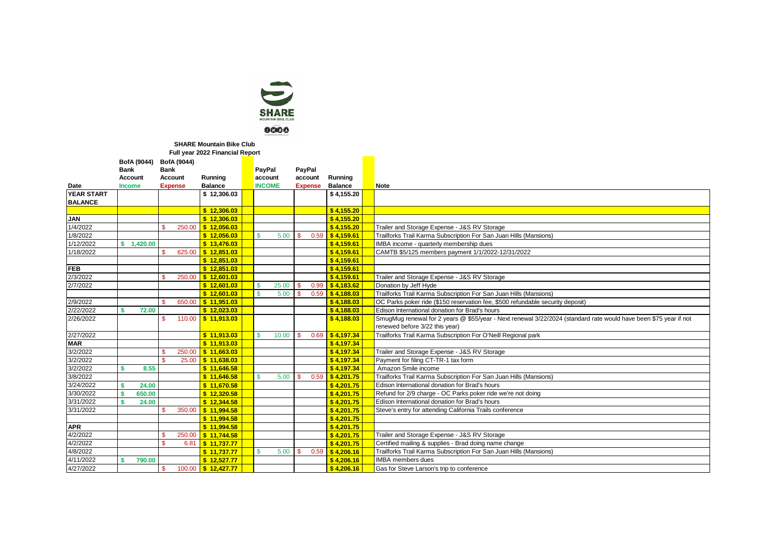

## **Full year 2022 Financial Report SHARE Mountain Bike Club**

|                   | Full year 2022 Financial Report |                |                           |  |                      |                |          |                   |  |                                                                                                                  |
|-------------------|---------------------------------|----------------|---------------------------|--|----------------------|----------------|----------|-------------------|--|------------------------------------------------------------------------------------------------------------------|
|                   | BofA (9044)                     | BofA (9044)    |                           |  |                      |                |          |                   |  |                                                                                                                  |
|                   | Bank                            | <b>Bank</b>    |                           |  | PayPal               | PayPal         |          |                   |  |                                                                                                                  |
|                   | Account                         | Account        | Running                   |  | account              | account        |          | Running           |  |                                                                                                                  |
| Date              | <b>Income</b>                   | <b>Expense</b> | <b>Balance</b>            |  | <b>INCOME</b>        | <b>Expense</b> |          | <b>Balance</b>    |  | <b>Note</b>                                                                                                      |
| <b>YEAR START</b> |                                 |                | \$12,306.03               |  |                      |                |          | \$4,155.20        |  |                                                                                                                  |
| <b>BALANCE</b>    |                                 |                |                           |  |                      |                |          |                   |  |                                                                                                                  |
|                   |                                 |                | \$12.306.03               |  |                      |                |          | \$4.155.20        |  |                                                                                                                  |
| <b>JAN</b>        |                                 |                | \$12.306.03               |  |                      |                |          | \$4.155.20        |  |                                                                                                                  |
| 1/4/2022          |                                 | 250.00<br>¢    | $S$ 12.056.03             |  |                      |                |          | \$4.155.20        |  | Trailer and Storage Expense - J&S RV Storage                                                                     |
| 1/8/2022          |                                 |                | \$12.056.03               |  | <b>S</b><br>5.00     | <b>S</b>       |          | $0.59$ \$4,159.61 |  | Trailforks Trail Karma Subscription For San Juan Hills (Mansions)                                                |
| 1/12/2022         | \$1.420.00                      |                | \$13,476.03               |  |                      |                |          | \$4,159.61        |  | IMBA income - quarterly membership dues                                                                          |
| 1/18/2022         |                                 | 625.00         | $S$ 12.851.03             |  |                      |                |          | \$4,159.61        |  | CAMTB \$5/125 members payment 1/1/2022-12/31/2022                                                                |
|                   |                                 |                | \$12,851.03               |  |                      |                |          | \$4.159.61        |  |                                                                                                                  |
| <b>FEB</b>        |                                 |                | \$12.851.03               |  |                      |                |          | \$4.159.61        |  |                                                                                                                  |
| 2/3/2022          |                                 | 250.00         | $S$ 12.601.03             |  |                      |                |          | \$4,159.61        |  | Trailer and Storage Expense - J&S RV Storage                                                                     |
| 2/7/2022          |                                 |                | \$12,601.03               |  | <b>S</b><br>25.00    | <b>S</b>       | $0.99-1$ | \$4,183,62        |  | Donation by Jeff Hyde                                                                                            |
|                   |                                 |                | \$12,601.03               |  | $\mathbf{s}$<br>5.00 | $\mathbf{s}$   |          | 0.59 \$4.188.03   |  | Trailforks Trail Karma Subscription For San Juan Hills (Mansions)                                                |
| 2/9/2022          |                                 | 650.00         | \$11,951.03               |  |                      |                |          | \$4.188.03        |  | OC Parks poker ride (\$150 reservation fee, \$500 refundable security deposit)                                   |
| 2/22/2022         | 72.00                           |                | \$12,023.03               |  |                      |                |          | \$4,188.03        |  | Edison International donation for Brad's hours                                                                   |
| 2/26/2022         |                                 | 110.00         | \$11,913.03               |  |                      |                |          | \$4,188.03        |  | SmugMug renewal for 2 years @ \$55/year - Next renewal 3/22/2024 (standard rate would have been \$75 year if not |
|                   |                                 |                |                           |  |                      |                |          |                   |  | renewed before 3/22 this year)                                                                                   |
| 2/27/2022         |                                 |                | \$11,913.03               |  | 10.00<br><b>S</b>    | -S             |          | 0.69 \$4,197.34   |  | Trailforks Trail Karma Subscription For O'Neill Regional park                                                    |
| <b>MAR</b>        |                                 |                | \$11.913.03               |  |                      |                |          | \$4,197.34        |  |                                                                                                                  |
| 3/2/2022          |                                 | 250.00<br>¢    | $S$ 11.663.03             |  |                      |                |          | \$4.197.34        |  | Trailer and Storage Expense - J&S RV Storage                                                                     |
| 3/2/2022          |                                 | ¢              | 25.00 \$11.638.03         |  |                      |                |          | \$4.197.34        |  | Payment for filing CT-TR-1 tax form                                                                              |
| 3/2/2022          | 8.55                            |                | \$11.646.58               |  |                      |                |          | \$4.197.34        |  | Amazon Smile income                                                                                              |
| 3/8/2022          |                                 |                | \$11.646.58               |  | $\mathbf{s}$<br>5.00 | <b>S</b>       |          | 0.59 \$4.201.75   |  | Trailforks Trail Karma Subscription For San Juan Hills (Mansions)                                                |
| 3/24/2022         | 24.00                           |                | \$11,670.58               |  |                      |                |          | \$4.201.75        |  | Edison International donation for Brad's hours                                                                   |
| 3/30/2022         | 650.00                          |                | \$12.320.58               |  |                      |                |          | \$4.201.75        |  | Refund for 2/9 charge - OC Parks poker ride we're not doing                                                      |
| 3/31/2022         | 24.00                           |                | \$12,344.58               |  |                      |                |          | \$4.201.75        |  | Edison International donation for Brad's hours                                                                   |
| 3/31/2022         |                                 | 350.00         | \$11.994.58               |  |                      |                |          | \$4.201.75        |  | Steve's entry for attending California Trails conference                                                         |
|                   |                                 |                | \$11,994.58               |  |                      |                |          | \$4.201.75        |  |                                                                                                                  |
| <b>APR</b>        |                                 |                | \$11,994.58               |  |                      |                |          | \$4.201.75        |  |                                                                                                                  |
| 4/2/2022          |                                 | 250.00         | $S$ 11.744.58             |  |                      |                |          | \$4.201.75        |  | Trailer and Storage Expense - J&S RV Storage                                                                     |
| 4/2/2022          |                                 | 6.81           | 5 11,737.77               |  |                      |                |          | \$4,201.75        |  | Certified mailing & supplies - Brad doing name change                                                            |
| 4/8/2022          |                                 |                | \$11,737.77               |  | s<br>5.00            | <b>S</b>       | 0.59     | \$4,206.16        |  | Trailforks Trail Karma Subscription For San Juan Hills (Mansions)                                                |
| 4/11/2022         | 790.00                          |                | \$12.527.77               |  |                      |                |          | \$4,206,16        |  | <b>IMBA</b> members dues                                                                                         |
| 4/27/2022         |                                 |                | 100.00 <b>\$12.427.77</b> |  |                      |                |          | \$4,206,16        |  | Gas for Steve Larson's trip to conference                                                                        |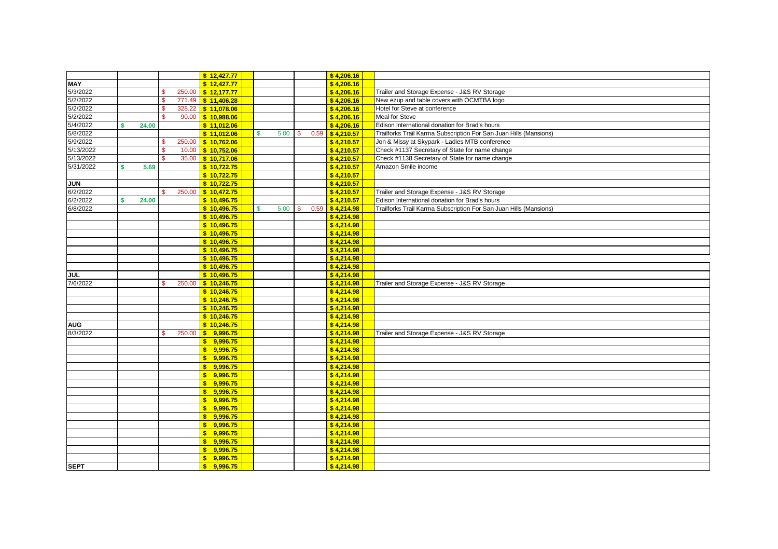|                      |   |       |          |        | \$12,427.77              |   |      |    |      | \$4,206.16 |                                                                   |
|----------------------|---|-------|----------|--------|--------------------------|---|------|----|------|------------|-------------------------------------------------------------------|
| <b>MAY</b>           |   |       |          |        | \$12,427.77              |   |      |    |      | \$4,206.16 |                                                                   |
|                      |   |       |          |        | 250.00 \$12,177.77       |   |      |    |      | \$4,206.16 | Trailer and Storage Expense - J&S RV Storage                      |
| 5/3/2022<br>5/2/2022 |   |       | s        |        | 771.49 \$11.406.28       |   |      |    |      | \$4,206.16 | New ezup and table covers with OCMTBA logo                        |
|                      |   |       | <b>S</b> | 328.22 | \$11.078.06              |   |      |    |      | \$4,206.16 | Hotel for Steve at conference                                     |
| 5/2/2022<br>5/2/2022 |   |       |          | 90.00  | \$10,988.06              |   |      |    |      | \$4.206.16 | <b>Meal for Steve</b>                                             |
| 5/4/2022             |   | 24.00 |          |        | \$11,012.06              |   |      |    |      | \$4,206.16 | Edison International donation for Brad's hours                    |
| 5/8/2022             |   |       |          |        | \$11,012.06              | s | 5.00 | \$ | 0.59 | 54,210.57  | Trailforks Trail Karma Subscription For San Juan Hills (Mansions) |
| 5/9/2022             |   |       |          |        | 250.00 \$10,762.06       |   |      |    |      | \$4.210.57 | Jon & Missy at Skypark - Ladies MTB conference                    |
| 5/13/2022            |   |       | <b>S</b> |        | 10.00 \$10,752.06        |   |      |    |      | \$4,210.57 | Check #1137 Secretary of State for name change                    |
| 5/13/2022            |   |       |          | 35.00  | 5 10,717.06              |   |      |    |      | \$4,210.57 | Check #1138 Secretary of State for name change                    |
| 5/31/2022            | s | 5.69  |          |        | \$10,722.75              |   |      |    |      | \$4,210.57 | Amazon Smile income                                               |
|                      |   |       |          |        | \$10,722.75              |   |      |    |      | \$4,210.57 |                                                                   |
| <b>NNC</b>           |   |       |          |        | \$10,722.75              |   |      |    |      | \$4,210.57 |                                                                   |
| 6/2/2022             |   |       |          | 250.00 | \$10,472.75              |   |      |    |      | \$4,210.57 | Trailer and Storage Expense - J&S RV Storage                      |
| 6/2/2022             |   | 24.00 |          |        | \$10,496.75              |   |      |    |      | \$4,210.57 | Edison International donation for Brad's hours                    |
| 6/8/2022             |   |       |          |        | \$10,496.75              | s | 5.00 | s. | 0.59 | \$4,214.98 | Trailforks Trail Karma Subscription For San Juan Hills (Mansions) |
|                      |   |       |          |        | \$10,496.75              |   |      |    |      | \$4,214.98 |                                                                   |
|                      |   |       |          |        | \$10,496.75              |   |      |    |      | \$4,214.98 |                                                                   |
|                      |   |       |          |        | \$10,496.75              |   |      |    |      | \$4,214.98 |                                                                   |
|                      |   |       |          |        | \$10,496.75              |   |      |    |      | \$4,214.98 |                                                                   |
|                      |   |       |          |        | \$10,496.75              |   |      |    |      | \$4.214.98 |                                                                   |
|                      |   |       |          |        | \$10,496.75              |   |      |    |      | \$4,214.98 |                                                                   |
|                      |   |       |          |        | \$10,496.75              |   |      |    |      | \$4,214.98 |                                                                   |
| JUL                  |   |       |          |        | \$10,496.75              |   |      |    |      | \$4,214.98 |                                                                   |
| 7/6/2022             |   |       |          |        | 250.00 \$ 10,246.75      |   |      |    |      | \$4,214.98 | Trailer and Storage Expense - J&S RV Storage                      |
|                      |   |       |          |        | \$10,246.75              |   |      |    |      | \$4,214.98 |                                                                   |
|                      |   |       |          |        | \$10,246.75              |   |      |    |      | \$4,214.98 |                                                                   |
|                      |   |       |          |        | \$10,246.75              |   |      |    |      | \$4,214.98 |                                                                   |
|                      |   |       |          |        | \$10,246.75              |   |      |    |      | \$4,214.98 |                                                                   |
| <b>AUG</b>           |   |       |          |        | \$10.246.75              |   |      |    |      | \$4.214.98 |                                                                   |
| 8/3/2022             |   |       |          | 250.00 | \$9,996.75               |   |      |    |      | \$4,214.98 | Trailer and Storage Expense - J&S RV Storage                      |
|                      |   |       |          |        | s<br>9.996.75            |   |      |    |      | \$4.214.98 |                                                                   |
|                      |   |       |          |        | Ś.<br>9.996.75           |   |      |    |      | \$4.214.98 |                                                                   |
|                      |   |       |          |        | 9.996.75<br>s.           |   |      |    |      | \$4,214.98 |                                                                   |
|                      |   |       |          |        | \$9.996.75               |   |      |    |      | \$4.214.98 |                                                                   |
|                      |   |       |          |        | \$9,996.75               |   |      |    |      | \$4,214.98 |                                                                   |
|                      |   |       |          |        | 9.996.75<br>$\mathbf{s}$ |   |      |    |      | \$4.214.98 |                                                                   |
|                      |   |       |          |        | \$9,996.75               |   |      |    |      | \$4,214.98 |                                                                   |
|                      |   |       |          |        | \$9.996.75               |   |      |    |      | \$4.214.98 |                                                                   |
|                      |   |       |          |        | $\mathbf{s}$<br>9,996.75 |   |      |    |      | \$4,214.98 |                                                                   |
|                      |   |       |          |        | 9,996.75<br>$\mathbf{s}$ |   |      |    |      | \$4,214.98 |                                                                   |
|                      |   |       |          |        | 9,996.75<br>Ś            |   |      |    |      | \$4,214.98 |                                                                   |
|                      |   |       |          |        | \$9,996.75               |   |      |    |      | \$4,214.98 |                                                                   |
|                      |   |       |          |        | \$9,996.75               |   |      |    |      | \$4,214.98 |                                                                   |
|                      |   |       |          |        | \$9,996.75               |   |      |    |      | \$4,214.98 |                                                                   |
|                      |   |       |          |        | 9.996.75<br>s            |   |      |    |      | \$4,214.98 |                                                                   |
| <b>SEPT</b>          |   |       |          |        | \$9.996.75               |   |      |    |      | \$4,214.98 |                                                                   |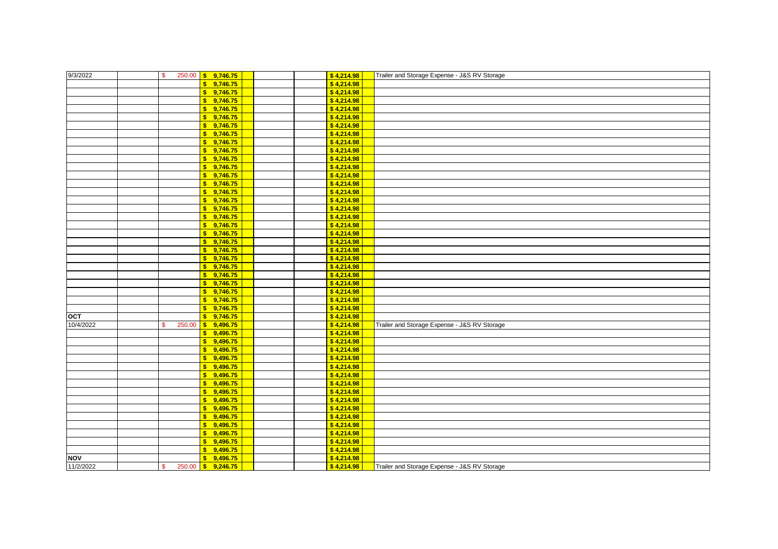| 9/3/2022   | s.     | 250.00 \$ 9,746.75       |  | \$4,214.98 | Trailer and Storage Expense - J&S RV Storage |
|------------|--------|--------------------------|--|------------|----------------------------------------------|
|            |        | $5$ 9,746.75             |  | \$4,214.98 |                                              |
|            |        | $\mathbf{s}$<br>9,746.75 |  | \$4,214.98 |                                              |
|            |        | 9,746.75<br>$\mathbf{s}$ |  | \$4,214.98 |                                              |
|            |        | \$9,746.75               |  | \$4,214.98 |                                              |
|            |        | 9,746.75<br>$\mathbf{S}$ |  | \$4,214.98 |                                              |
|            |        | 9,746.75<br>s.           |  | \$4,214.98 |                                              |
|            |        | 9,746.75<br>s.           |  | \$4,214.98 |                                              |
|            |        | 9,746.75<br>s            |  | \$4,214.98 |                                              |
|            |        | \$9,746.75               |  | \$4,214.98 |                                              |
|            |        | \$9,746.75               |  | \$4,214.98 |                                              |
|            |        | \$9,746.75               |  | \$4,214.98 |                                              |
|            |        | 9,746.75<br>$\mathbf{s}$ |  | \$4,214.98 |                                              |
|            |        | \$9,746.75               |  | \$4,214.98 |                                              |
|            |        | \$9,746.75               |  | \$4,214.98 |                                              |
|            |        | 9,746.75<br>$\mathbf{s}$ |  | \$4,214.98 |                                              |
|            |        | 9,746.75<br>$\mathbf{s}$ |  | \$4,214.98 |                                              |
|            |        | 9,746.75<br>$\mathbf{s}$ |  | \$4,214.98 |                                              |
|            |        | \$9,746.75               |  | \$4,214.98 |                                              |
|            |        | 9,746.75<br>$\mathbf{s}$ |  | \$4,214.98 |                                              |
|            |        | \$9,746.75               |  | \$4,214.98 |                                              |
|            |        | 9,746.75<br>s.           |  | \$4,214.98 |                                              |
|            |        | \$9,746.75               |  | \$4,214.98 |                                              |
|            |        | 9,746.75<br>$\mathbf{s}$ |  | \$4,214.98 |                                              |
|            |        | 9,746.75<br>$\mathbf{s}$ |  | \$4,214.98 |                                              |
|            |        | 9,746.75<br>$\mathbf{s}$ |  | \$4,214.98 |                                              |
|            |        | 9,746.75<br>$\mathbf{s}$ |  | \$4,214.98 |                                              |
|            |        | \$9,746.75               |  | \$4,214.98 |                                              |
|            |        | \$9,746.75               |  | \$4,214.98 |                                              |
| OCT        |        | $5$ 9,746.75             |  | \$4,214.98 |                                              |
| 10/4/2022  | 250.00 | $5$ 9,496.75             |  | \$4,214.98 | Trailer and Storage Expense - J&S RV Storage |
|            |        | \$9,496.75               |  | \$4,214.98 |                                              |
|            |        | \$9,496.75               |  | \$4,214.98 |                                              |
|            |        | \$9,496.75               |  | \$4,214.98 |                                              |
|            |        | 9,496.75<br>$\mathbf{S}$ |  | \$4,214.98 |                                              |
|            |        | 9.496.75<br>s.           |  | \$4,214.98 |                                              |
|            |        | s.<br>9,496.75           |  | \$4,214.98 |                                              |
|            |        | 9,496.75<br>s            |  | \$4,214.98 |                                              |
|            |        | \$9,496.75               |  | \$4,214.98 |                                              |
|            |        | $\mathbf{s}$<br>9,496.75 |  | \$4,214.98 |                                              |
|            |        | 9,496.75<br>$\mathbf{s}$ |  | \$4,214.98 |                                              |
|            |        | \$9,496.75               |  | \$4,214.98 |                                              |
|            |        | \$9,496.75               |  | \$4,214.98 |                                              |
|            |        | 9,496.75<br>s.           |  | \$4,214.98 |                                              |
|            |        | 9,496.75<br>s.           |  | \$4,214.98 |                                              |
|            |        | 9,496.75<br>s.           |  | \$4,214.98 |                                              |
| <b>NOV</b> |        | 9,496.75<br>$\mathbf{s}$ |  | \$4,214.98 |                                              |
| 11/2/2022  |        | 250.00 \$ 9,246.75       |  | \$4,214.98 | Trailer and Storage Expense - J&S RV Storage |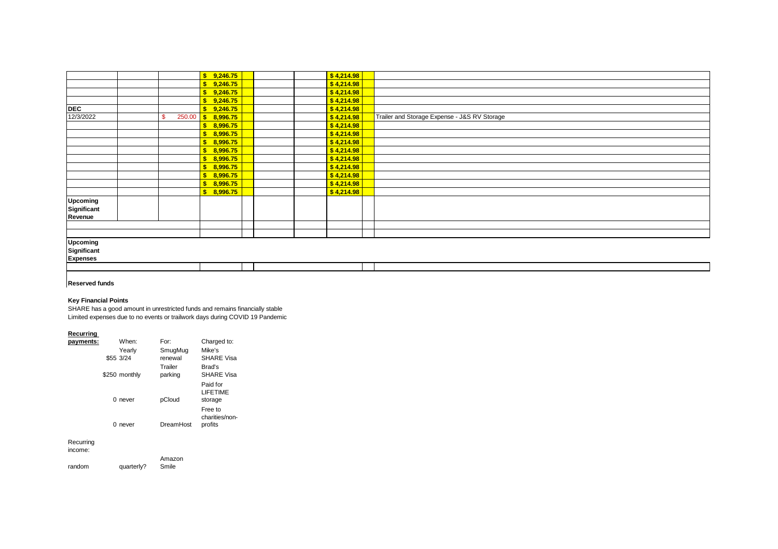|                 |    | \$9,246.75         |  | \$4,214.98 |                                              |
|-----------------|----|--------------------|--|------------|----------------------------------------------|
|                 |    | \$9,246.75         |  | \$4,214.98 |                                              |
|                 |    | \$9,246.75         |  | \$4,214.98 |                                              |
|                 |    | $5 \t 9,246.75$    |  | \$4,214.98 |                                              |
| <b>DEC</b>      |    | $5$ 9,246.75       |  | \$4,214.98 |                                              |
| 12/3/2022       | -S | 250.00 \$ 8,996.75 |  | \$4,214.98 | Trailer and Storage Expense - J&S RV Storage |
|                 |    | \$8,996.75         |  | \$4,214.98 |                                              |
|                 |    | \$8,996.75         |  | \$4,214.98 |                                              |
|                 |    | \$8,996.75         |  | \$4,214.98 |                                              |
|                 |    | \$8,996.75         |  | \$4,214.98 |                                              |
|                 |    | \$8,996.75         |  | \$4,214.98 |                                              |
|                 |    | \$8,996.75         |  | \$4,214.98 |                                              |
|                 |    | \$8,996.75         |  | \$4,214.98 |                                              |
|                 |    | \$8,996.75         |  | \$4,214.98 |                                              |
|                 |    | \$8,996.75         |  | \$4,214.98 |                                              |
| Upcoming        |    |                    |  |            |                                              |
| Significant     |    |                    |  |            |                                              |
| Revenue         |    |                    |  |            |                                              |
|                 |    |                    |  |            |                                              |
|                 |    |                    |  |            |                                              |
| Upcoming        |    |                    |  |            |                                              |
| Significant     |    |                    |  |            |                                              |
| <b>Expenses</b> |    |                    |  |            |                                              |

## **Reserved funds**

## **Key Financial Points**

SHARE has a good amount in unrestricted funds and remains financially stable Limited expenses due to no events or trailwork days during COVID 19 Pandemic

## **Recurring**

| payments: |   | When:               | For:               | Charged to:                            |
|-----------|---|---------------------|--------------------|----------------------------------------|
|           |   | Yearly<br>\$55 3/24 | SmugMug<br>renewal | Mike's<br><b>SHARE Visa</b>            |
|           |   | \$250 monthly       | Trailer<br>parking | Brad's<br><b>SHARE Visa</b>            |
|           |   | $0$ never           | pCloud             | Paid for<br><b>LIFFTIME</b><br>storage |
|           | 0 | never               | DreamHost          | Free to<br>charities/non-<br>profits   |
| Recurring |   |                     |                    |                                        |

Recurring income:

| income: |            |        |
|---------|------------|--------|
|         |            | Amazon |
| random  | quarterly? | Smile  |